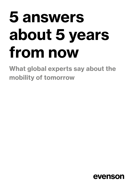# **5 answers** about 5 years from now

What global experts say about the mobility of tomorrow

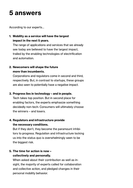## 5 answers

According to our experts...

1. Mobility as a service will have the largest impact in the next 5 years.

The range of applications and services that we already see today are believed to have the largest impact, trailed by the enabling technologies of electrification and automation.

#### 2. Newcomers will shape the future more than incumbents.

Corporations and regulators come in second and third, respectively. But, in contrast to startups, these groups are also seen to potentially have a negative impact.

#### 3. Progress lies in technology - and in people.

Tech takes top position. But in second place for enabling factors, the experts emphasize something decidedly non-tech: Consumers will ultimately choose the winners - and losers.

#### 4. Regulators and infrastructure provide the necessary conditions.

But if they don't, they become the paramount inhibitors to progress. Regulation and infrastructure locking us into the status quo is overwhelmingly seen to be the biggest risk.

#### 5. The time for action is now collectively and personally.

When asked about their contribution as well as insight, the majority of experts called for collaboration and collective action, and pledged changes in their personal mobility behavior.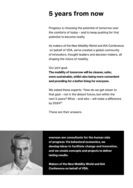### **5 years from now**

Progress is choosing the potential of tomorrow over the comforts of today – and to keep pushing for that potential to become reality.

As makers of the New Mobility World and IAA Conference on behalf of VDA, we've created a global community of innovators, thought leaders and decision makers, all shaping the future of mobility.

Our joint goal:

The mobility of tomorrow will be cleaner, safer, more sustainable, whilst also being more convenient and providing for a better living for everyone.

We asked these experts: "How do we get closer to that goal – not in the distant future, but within the next 5 years? What – and who – will make a difference by 2024?"

These are their answers.



evenson are consultants for the human side of progress: Via behavioral economics, we develop ideas to facilitate change and innovation, and we create concepts and projects to deliver lasting results.

Makers of the New Mobility World and IAA Conference on behalf of VDA.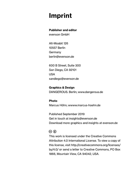## **Imprint**

#### **Publisher and editor**

evenson GmbH

Alt-Moabit 126 10557 Berlin Germany berlin@evenson.de

600 B Street, Suite 300 San Diego, CA 92101 **USA** sandiego@evenson.de

**Graphics & Design** DANGEROUS. Berlin; www.dangerous.de

Photo Marcus Höhn; wwww.marcus-hoehn.de

Published September 2019 Get in touch at insights@evenson.de Download more graphics and insights at evenson.de

#### $\circledcirc$   $\circledcirc$

This work is licensed under the Creative Commons Attribution 4.0 International License. To view a copy of this license, visit http://creativecommons.org/licenses/ by/4.0/ or send a letter to Creative Commons, PO Box 1866, Mountain View, CA 94042, USA.